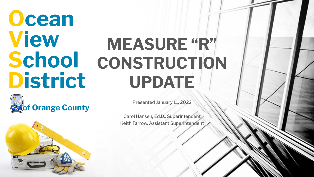### **Ocean View School District**



Presented January 11, 2022

**MEASURE "R"**

**CONSTRUCTION**

**UPDATE**

Carol Hansen, Ed.D., Superintendent Keith Farrow, Assistant Superintendent

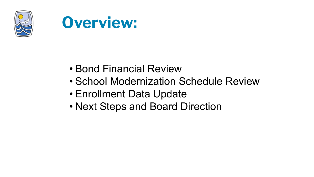



- Bond Financial Review
- School Modernization Schedule Review
- Enrollment Data Update
- Next Steps and Board Direction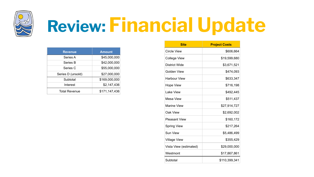

# **Review: Financial Update**

| <b>Revenue</b>       | <b>Amount</b> |
|----------------------|---------------|
| Series A             | \$45,000,000  |
| Series B             | \$42,000,000  |
| Series C             | \$55,000,000  |
| Series D (unsold)    | \$27,000,000  |
| Subtotal             | \$169,000,000 |
| Interest             | \$2,147,436   |
| <b>Total Revenue</b> | \$171,147,436 |

| <b>Site</b>            | <b>Project Costs</b> |
|------------------------|----------------------|
| Circle View            | \$606,664            |
| College View           | \$19,599,680         |
| District Wide          | \$3,671,521          |
| Golden View            | \$474,093            |
| <b>Harbour View</b>    | \$633,347            |
| <b>Hope View</b>       | \$716,198            |
| Lake View              | \$492,445            |
| Mesa View              | \$511,437            |
| Marine View            | \$27,914,727         |
| Oak View               | \$2,692,002          |
| <b>Pleasant View</b>   | \$160,172            |
| <b>Spring View</b>     | \$217,264            |
| Sun View               | \$5,486,499          |
| <b>Village View</b>    | \$355,429            |
| Vista View (estimated) | \$29,000,000         |
| Westmont               | \$17,867,861         |
| Subtotal               | \$110,399,341        |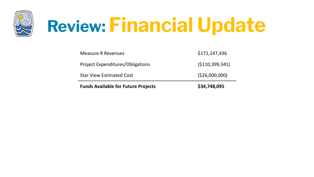

# **Review: Financial Update**

| <b>Funds Available for Future Projects</b> | \$34,748,095       |
|--------------------------------------------|--------------------|
| <b>Star View Estimated Cost</b>            | ( \$26,000,000)    |
| <b>Project Expenditures/Obligations</b>    | ( \$110, 399, 341) |
| <b>Measure R Revenues</b>                  | \$171,147,436      |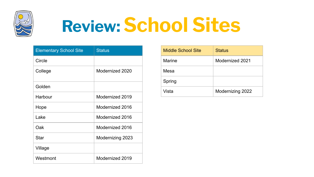

### **Review: School Sites**

| <b>Elementary School Site</b> | <b>Status</b>           |
|-------------------------------|-------------------------|
| Circle                        |                         |
| College                       | Modernized 2020         |
| Golden                        |                         |
| Harbour                       | Modernized 2019         |
| Hope                          | Modernized 2016         |
| Lake                          | Modernized 2016         |
| Oak                           | Modernized 2016         |
| <b>Star</b>                   | <b>Modernizing 2023</b> |
| Village                       |                         |
| Westmont                      | Modernized 2019         |

| <b>Middle School Site</b> | <b>Status</b>    |
|---------------------------|------------------|
| <b>Marine</b>             | Modernized 2021  |
| Mesa                      |                  |
| Spring                    |                  |
| Vista                     | Modernizing 2022 |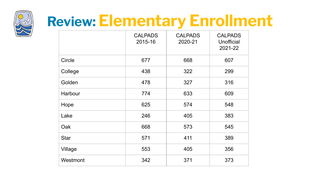

#### **Review: Elementary Enrollment**

|               | <b>CALPADS</b><br>2015-16 | <b>CALPADS</b><br>2020-21 | <b>CALPADS</b><br>Unofficial<br>2021-22 |
|---------------|---------------------------|---------------------------|-----------------------------------------|
| <b>Circle</b> | 677                       | 668                       | 607                                     |
| College       | 438                       | 322                       | 299                                     |
| Golden        | 478                       | 327                       | 316                                     |
| Harbour       | 774                       | 633                       | 609                                     |
| Hope          | 625                       | 574                       | 548                                     |
| Lake          | 246                       | 405                       | 383                                     |
| Oak           | 668                       | 573                       | 545                                     |
| <b>Star</b>   | 571                       | 411                       | 389                                     |
| Village       | 553                       | 405                       | 356                                     |
| Westmont      | 342                       | 371                       | 373                                     |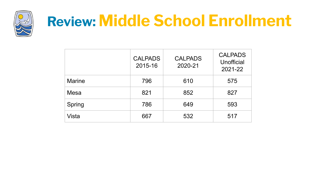

#### **Review: Middle School Enrollment**

|               | <b>CALPADS</b><br>2015-16 | <b>CALPADS</b><br>2020-21 | <b>CALPADS</b><br>Unofficial<br>2021-22 |
|---------------|---------------------------|---------------------------|-----------------------------------------|
| <b>Marine</b> | 796                       | 610                       | 575                                     |
| Mesa          | 821                       | 852                       | 827                                     |
| Spring        | 786                       | 649                       | 593                                     |
| Vista         | 667                       | 532                       | 517                                     |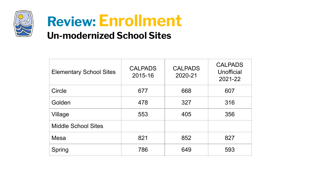

#### **Review: Enrollment Un-modernized School Sites**

| <b>Elementary School Sites</b> | <b>CALPADS</b><br>2015-16 | <b>CALPADS</b><br>2020-21 | <b>CALPADS</b><br>Unofficial<br>2021-22 |
|--------------------------------|---------------------------|---------------------------|-----------------------------------------|
| Circle                         | 677                       | 668                       | 607                                     |
| Golden                         | 478                       | 327                       | 316                                     |
| Village                        | 553                       | 405                       | 356                                     |
| <b>Middle School Sites</b>     |                           |                           |                                         |
| <b>Mesa</b>                    | 821                       | 852                       | 827                                     |
| Spring                         | 786                       | 649                       | 593                                     |